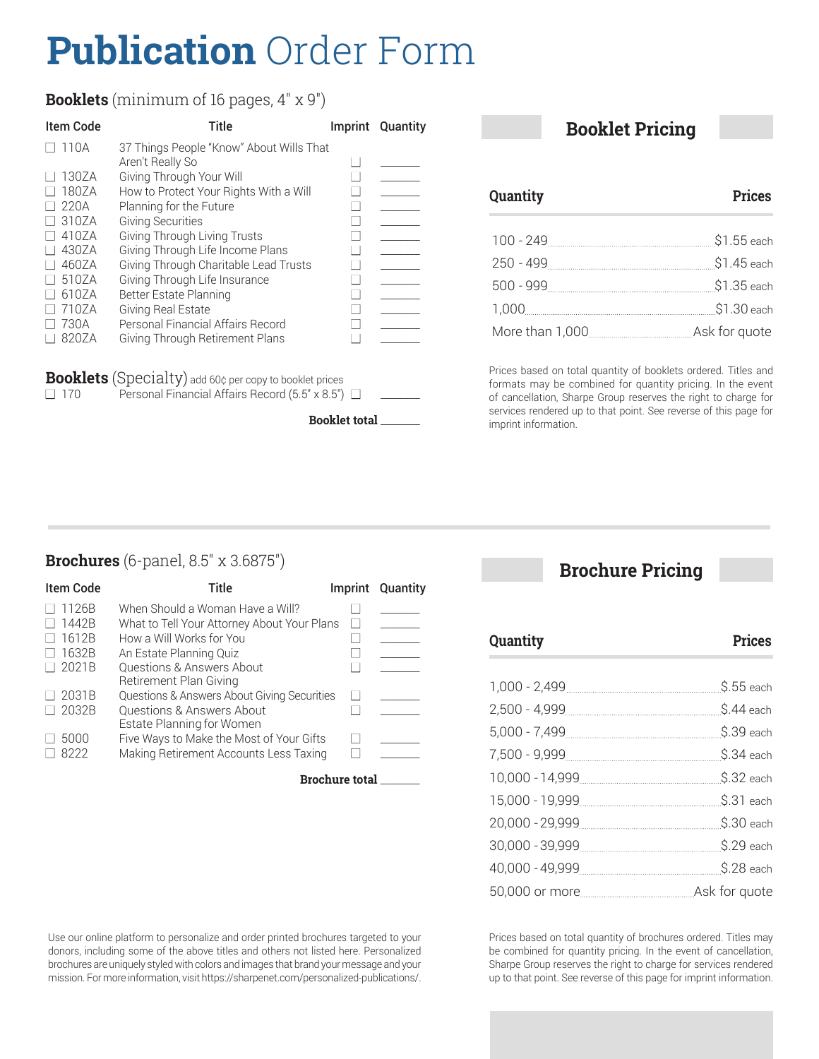# **Publication** Order Form

#### **Booklets** (minimum of 16 pages, 4" x 9")

| Item Code | Title                                                        | Imprint Quantity |
|-----------|--------------------------------------------------------------|------------------|
| 110A      | 37 Things People "Know" About Wills That<br>Aren't Really So |                  |
| 130ZA     | Giving Through Your Will                                     |                  |
| 180ZA     | How to Protect Your Rights With a Will                       |                  |
| 220A      | Planning for the Future                                      |                  |
| 310ZA     | <b>Giving Securities</b>                                     |                  |
| 410ZA     | Giving Through Living Trusts                                 |                  |
| 430ZA     | Giving Through Life Income Plans                             |                  |
| 460ZA     | Giving Through Charitable Lead Trusts                        |                  |
| 510ZA     | Giving Through Life Insurance                                |                  |
| 610ZA     | Better Estate Planning                                       |                  |
| 710ZA     | Giving Real Estate                                           |                  |
| 730A      | Personal Financial Affairs Record                            |                  |
| 820ZA     | Giving Through Retirement Plans                              |                  |

**Booklets** (Specialty) add 60¢ per copy to booklet prices <br>  $\Box$  170 Personal Financial Affairs Record (5.5" x 8.5") Personal Financial Affairs Record (5.5" x 8.5")  $\Box$ 

**Booklet total** \_\_\_\_\_\_\_\_

#### **Booklet Pricing**

**Quantity Prices**

| 100 - 249 | \$1.55 each   |
|-----------|---------------|
| 250 - 499 | \$1.45 each   |
| 500 - 999 | \$1.35 each   |
| 1,000     | \$1.30 each   |
|           | Ask for quote |

Prices based on total quantity of booklets ordered. Titles and formats may be combined for quantity pricing. In the event of cancellation, Sharpe Group reserves the right to charge for services rendered up to that point. See reverse of this page for imprint information.

#### **Brochures** (6-panel, 8.5" x 3.6875")

| <b>Item Code</b> | Title                                       | Imprint      | Quantity |
|------------------|---------------------------------------------|--------------|----------|
| 1126B            | When Should a Woman Have a Will?            |              |          |
| 1442B            | What to Tell Your Attorney About Your Plans | $\mathbf{I}$ |          |
| 1612B            | How a Will Works for You                    |              |          |
| 1632B            | An Estate Planning Quiz                     |              |          |
| 2021B            | <b>Questions &amp; Answers About</b>        |              |          |
|                  | Retirement Plan Giving                      |              |          |
| 2031B            | Questions & Answers About Giving Securities | $\mathbf{I}$ |          |
| 2032B            | Questions & Answers About                   |              |          |
|                  | Estate Planning for Women                   |              |          |
| 5000             | Five Ways to Make the Most of Your Gifts    |              |          |
| 8222             | Making Retirement Accounts Less Taxing      |              |          |

**Brochure total** \_\_\_\_\_\_\_\_

## **Brochure Pricing**

| Quantity | <b>Prices</b> |
|----------|---------------|
|          |               |
|          | \$.55 each    |
|          | \$.44 each    |
|          | \$.39 each    |
|          | \$.34 each    |
|          | \$.32 each    |
|          | \$.31 each    |
|          | \$.30 each    |
|          | \$.29 each    |
|          | \$.28 each    |
|          | Ask for quote |

Use our online platform to personalize and order printed brochures targeted to your donors, including some of the above titles and others not listed here. Personalized brochures are uniquely styled with colors and images that brand your message and your mission. For more information, visit https://sharpenet.com/personalized-publications/. Prices based on total quantity of brochures ordered. Titles may be combined for quantity pricing. In the event of cancellation, Sharpe Group reserves the right to charge for services rendered up to that point. See reverse of this page for imprint information.